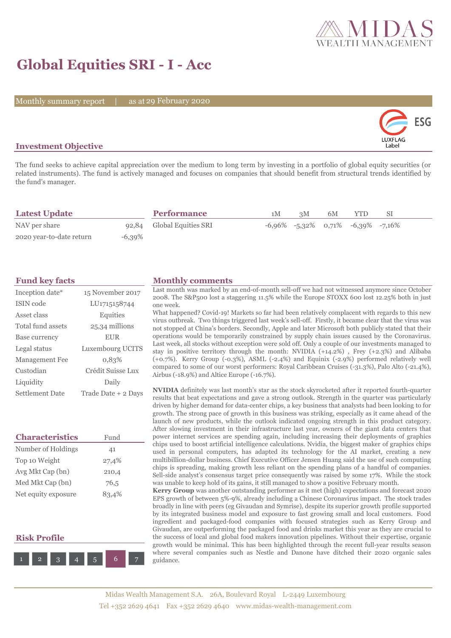

# **Global Equities SRI - I - Acc**

Monthly summary report | as at 29 February 2020



## **Investment Objective**

The fund seeks to achieve capital appreciation over the medium to long term by investing in a portfolio of global equity securities (or related instruments). The fund is actively managed and focuses on companies that should benefit from structural trends identified by the fund's manager.

| <b>Latest Update</b>     |           | <b>Performance</b>        | 1M | 3M | 6M | <b>YTD</b>                                    |  |
|--------------------------|-----------|---------------------------|----|----|----|-----------------------------------------------|--|
| NAV per share            |           | 92,84 Global Equities SRI |    |    |    | $-6,96\%$ $-5,32\%$ 0.71% $-6,39\%$ $-7,16\%$ |  |
| 2020 year-to-date return | $-6,39\%$ |                           |    |    |    |                                               |  |

| Inception date*   | 15 November 2017        |
|-------------------|-------------------------|
| ISIN code         | LU1715158744            |
| Asset class       | Equities                |
| Total fund assets | 25,34 millions          |
| Base currency     | <b>EUR</b>              |
| Legal status      | <b>Luxembourg UCITS</b> |
| Management Fee    | 0,83%                   |
| Custodian         | Crédit Suisse Lux       |
| Liquidity         | Daily                   |
| Settlement Date   | Trade Date + 2 Days     |

| <b>Characteristics</b> | Fund  |  |  |
|------------------------|-------|--|--|
| Number of Holdings     | 41    |  |  |
| Top 10 Weight          | 27,4% |  |  |
| Avg Mkt Cap (bn)       | 210,4 |  |  |
| Med Mkt Cap (bn)       | 76,5  |  |  |
| Net equity exposure    | 83,4% |  |  |

## **Risk Profile**



## **Fund key facts Monthly comments**

Last month was marked by an end-of-month sell-off we had not witnessed anymore since October 2008. The S&P500 lost a staggering 11.5% while the Europe STOXX 600 lost 12.25% both in just one week.

What happened? Covid-19! Markets so far had been relatively complacent with regards to this new virus outbreak. Two things triggered last week's sell-off. Firstly, it became clear that the virus was not stopped at China's borders. Secondly, Apple and later Microsoft both publicly stated that their operations would be temporarily constrained by supply chain issues caused by the Coronavirus. Last week, all stocks without exception were sold off. Only a couple of our investments managed to stay in positive territory through the month: NVIDIA (+14.2%) , Frey (+2.3%) and Alibaba (+0.7%). Kerry Group (-0.3%), ASML (-2.4%) and Equinix (-2.9%) performed relatively well compared to some of our worst performers: Royal Caribbean Cruises (-31.3%), Palo Alto (-21.4%), Airbus (-18.9%) and Altice Europe (-16.7%).

**NVIDIA** definitely was last month's star as the stock skyrocketed after it reported fourth-quarter results that beat expectations and gave a strong outlook. Strength in the quarter was particularly driven by higher demand for data-center chips, a key business that analysts had been looking to for growth. The strong pace of growth in this business was striking, especially as it came ahead of the launch of new products, while the outlook indicated ongoing strength in this product category. After slowing investment in their infrastructure last year, owners of the giant data centers that power internet services are spending again, including increasing their deployments of graphics chips used to boost artificial intelligence calculations. Nvidia, the biggest maker of graphics chips used in personal computers, has adapted its technology for the AI market, creating a new multibillion-dollar business. Chief Executive Officer Jensen Huang said the use of such computing chips is spreading, making growth less reliant on the spending plans of a handful of companies. Sell-side analyst's consensus target price consequently was raised by some 17%. While the stock was unable to keep hold of its gains, it still managed to show a positive February month.

**Kerry Group** was another outstanding performer as it met (high) expectations and forecast 2020 EPS growth of between 5%-9%, already including a Chinese Coronavirus impact. The stock trades broadly in line with peers (eg Givaudan and Symrise), despite its superior growth profile supported by its integrated business model and exposure to fast growing small and local customers. Food ingredient and packaged-food companies with focused strategies such as Kerry Group and Givaudan, are outperforming the packaged food and drinks market this year as they are crucial to the success of local and global food makers innovation pipelines. Without their expertise, organic growth would be minimal. This has been highlighted through the recent full-year results season where several companies such as Nestle and Danone have ditched their 2020 organic sales guidance.